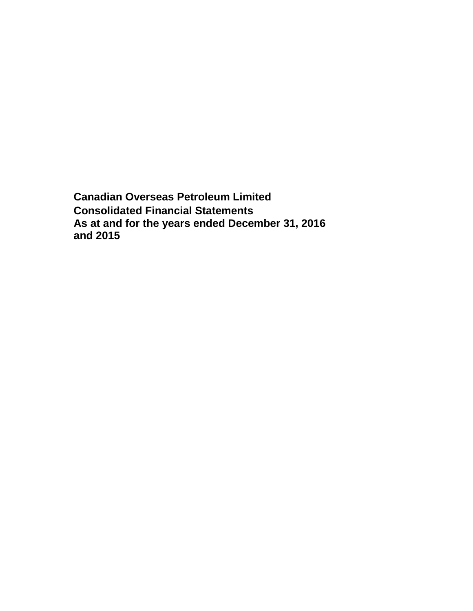**Canadian Overseas Petroleum Limited Consolidated Financial Statements As at and for the years ended December 31, 2016 and 2015**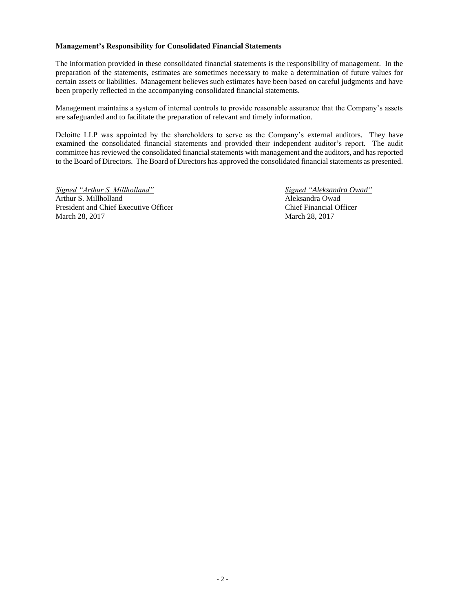## **Management's Responsibility for Consolidated Financial Statements**

The information provided in these consolidated financial statements is the responsibility of management. In the preparation of the statements, estimates are sometimes necessary to make a determination of future values for certain assets or liabilities. Management believes such estimates have been based on careful judgments and have been properly reflected in the accompanying consolidated financial statements.

Management maintains a system of internal controls to provide reasonable assurance that the Company's assets are safeguarded and to facilitate the preparation of relevant and timely information.

Deloitte LLP was appointed by the shareholders to serve as the Company's external auditors. They have examined the consolidated financial statements and provided their independent auditor's report. The audit committee has reviewed the consolidated financial statements with management and the auditors, and has reported to the Board of Directors. The Board of Directors has approved the consolidated financial statements as presented.

*Signed "Arthur S. Millholland" Signed "Aleksandra Owad"* Arthur S. Millholland Aleksandra Owad President and Chief Executive Officer Chief Financial Officer March 28, 2017 March 28, 2017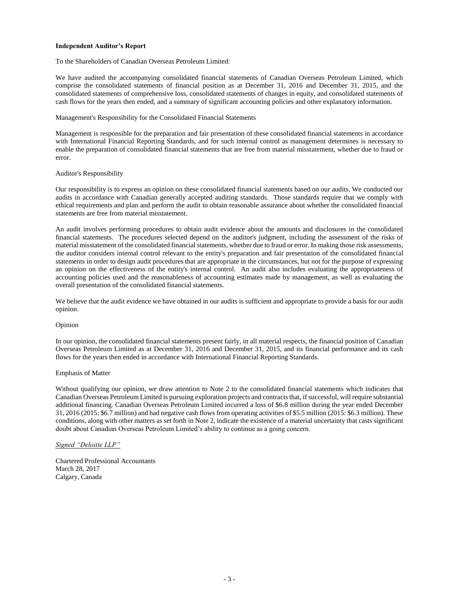#### **Independent Auditor's Report**

To the Shareholders of Canadian Overseas Petroleum Limited:

We have audited the accompanying consolidated financial statements of Canadian Overseas Petroleum Limited, which comprise the consolidated statements of financial position as at December 31, 2016 and December 31, 2015, and the consolidated statements of comprehensive loss, consolidated statements of changes in equity, and consolidated statements of cash flows for the years then ended, and a summary of significant accounting policies and other explanatory information.

Management's Responsibility for the Consolidated Financial Statements

Management is responsible for the preparation and fair presentation of these consolidated financial statements in accordance with International Financial Reporting Standards, and for such internal control as management determines is necessary to enable the preparation of consolidated financial statements that are free from material misstatement, whether due to fraud or error.

#### Auditor's Responsibility

Our responsibility is to express an opinion on these consolidated financial statements based on our audits. We conducted our audits in accordance with Canadian generally accepted auditing standards. Those standards require that we comply with ethical requirements and plan and perform the audit to obtain reasonable assurance about whether the consolidated financial statements are free from material misstatement.

An audit involves performing procedures to obtain audit evidence about the amounts and disclosures in the consolidated financial statements. The procedures selected depend on the auditor's judgment, including the assessment of the risks of material misstatement of the consolidated financial statements, whether due to fraud or error. In making those risk assessments, the auditor considers internal control relevant to the entity's preparation and fair presentation of the consolidated financial statements in order to design audit procedures that are appropriate in the circumstances, but not for the purpose of expressing an opinion on the effectiveness of the entity's internal control. An audit also includes evaluating the appropriateness of accounting policies used and the reasonableness of accounting estimates made by management, as well as evaluating the overall presentation of the consolidated financial statements.

We believe that the audit evidence we have obtained in our audits is sufficient and appropriate to provide a basis for our audit opinion.

#### Opinion

In our opinion, the consolidated financial statements present fairly, in all material respects, the financial position of Canadian Overseas Petroleum Limited as at December 31, 2016 and December 31, 2015, and its financial performance and its cash flows for the years then ended in accordance with International Financial Reporting Standards.

#### Emphasis of Matter

Without qualifying our opinion, we draw attention to Note 2 to the consolidated financial statements which indicates that Canadian Overseas Petroleum Limited is pursuing exploration projects and contracts that, if successful, will require substantial additional financing. Canadian Overseas Petroleum Limited incurred a loss of \$6.8 million during the year ended December 31, 2016 (2015: \$6.7 million) and had negative cash flows from operating activities of \$5.5 million (2015: \$6.3 million). These conditions, along with other matters as set forth in Note 2, indicate the existence of a material uncertainty that casts significant doubt about Canadian Overseas Petroleum Limited's ability to continue as a going concern.

## *Signed "Deloitte LLP"*

Chartered Professional Accountants March 28, 2017 Calgary, Canada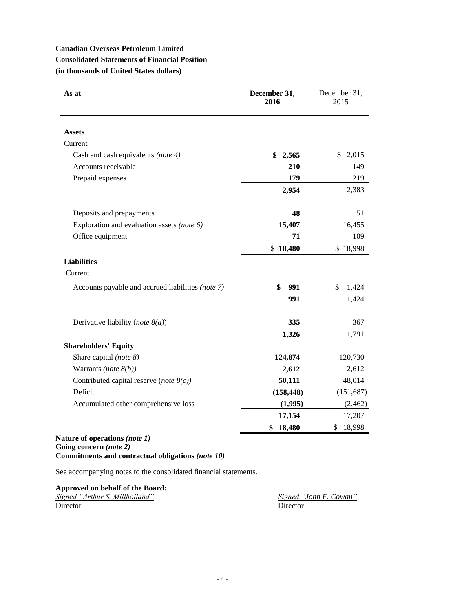# **Canadian Overseas Petroleum Limited Consolidated Statements of Financial Position (in thousands of United States dollars)**

| As at                                             | December 31,<br>2016 | December 31,<br>2015  |
|---------------------------------------------------|----------------------|-----------------------|
| <b>Assets</b>                                     |                      |                       |
| Current                                           |                      |                       |
| Cash and cash equivalents (note 4)                | \$<br>2,565          | $\mathbb{S}$<br>2,015 |
| Accounts receivable                               | 210                  | 149                   |
| Prepaid expenses                                  | 179                  | 219                   |
|                                                   | 2,954                | 2,383                 |
| Deposits and prepayments                          | 48                   | 51                    |
| Exploration and evaluation assets (note 6)        | 15,407               | 16,455                |
| Office equipment                                  | 71                   | 109                   |
|                                                   | \$18,480             | \$18,998              |
| <b>Liabilities</b>                                |                      |                       |
| Current                                           |                      |                       |
| Accounts payable and accrued liabilities (note 7) | \$<br>991            | \$<br>1,424           |
|                                                   | 991                  | 1,424                 |
| Derivative liability (note $8(a)$ )               | 335                  | 367                   |
|                                                   | 1,326                | 1,791                 |
| <b>Shareholders' Equity</b>                       |                      |                       |
| Share capital (note 8)                            | 124,874              | 120,730               |
| Warrants (note $8(b)$ )                           | 2,612                | 2,612                 |
| Contributed capital reserve (note $8(c)$ )        | 50,111               | 48,014                |
| Deficit                                           | (158, 448)           | (151, 687)            |
| Accumulated other comprehensive loss              | (1,995)              | (2, 462)              |
|                                                   | 17,154               | 17,207                |
|                                                   | \$<br>18,480         | \$<br>18,998          |

# **Nature of operations** *(note 1)* **Going concern** *(note 2)* **Commitments and contractual obligations** *(note 10)*

See accompanying notes to the consolidated financial statements.

# **Approved on behalf of the Board:**

| Signed "Arthur S. Millholland" | Signed "John F. Cowan" |
|--------------------------------|------------------------|
| Director                       | Director               |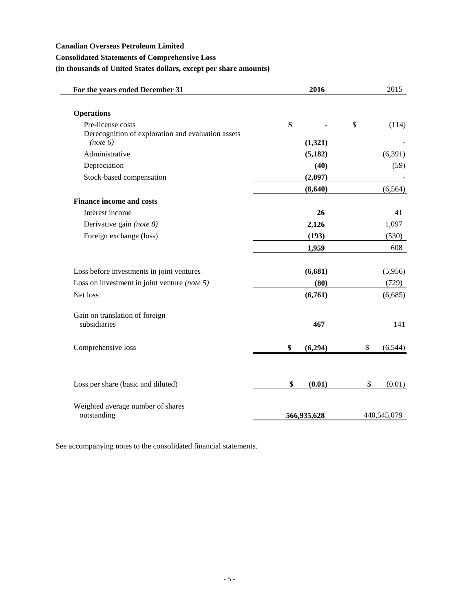## **Canadian Overseas Petroleum Limited**

# **Consolidated Statements of Comprehensive Loss**

# **(in thousands of United States dollars, except per share amounts)**

| For the years ended December 31                                         | 2016          | 2015           |
|-------------------------------------------------------------------------|---------------|----------------|
| <b>Operations</b>                                                       |               |                |
| Pre-license costs<br>Derecognition of exploration and evaluation assets | \$            | \$<br>(114)    |
| (note 6)                                                                | (1,321)       |                |
| Administrative                                                          | (5, 182)      | (6, 391)       |
| Depreciation                                                            | (40)          | (59)           |
| Stock-based compensation                                                | (2,097)       |                |
|                                                                         | (8,640)       | (6, 564)       |
| <b>Finance income and costs</b>                                         |               |                |
| Interest income                                                         | 26            | 41             |
| Derivative gain (note 8)                                                | 2,126         | 1,097          |
| Foreign exchange (loss)                                                 | (193)         | (530)          |
|                                                                         | 1,959         | 608            |
| Loss before investments in joint ventures                               | (6, 681)      | (5,956)        |
| Loss on investment in joint venture (note $5$ )                         | (80)          | (729)          |
| Net loss                                                                | (6,761)       | (6,685)        |
| Gain on translation of foreign<br>subsidiaries                          | 467           | 141            |
|                                                                         |               |                |
| Comprehensive loss                                                      | \$<br>(6,294) | \$<br>(6, 544) |
| Loss per share (basic and diluted)                                      | \$<br>(0.01)  | \$<br>(0.01)   |
|                                                                         |               |                |
| Weighted average number of shares<br>outstanding                        |               | 440,545,079    |
|                                                                         | 566,935,628   |                |

See accompanying notes to the consolidated financial statements.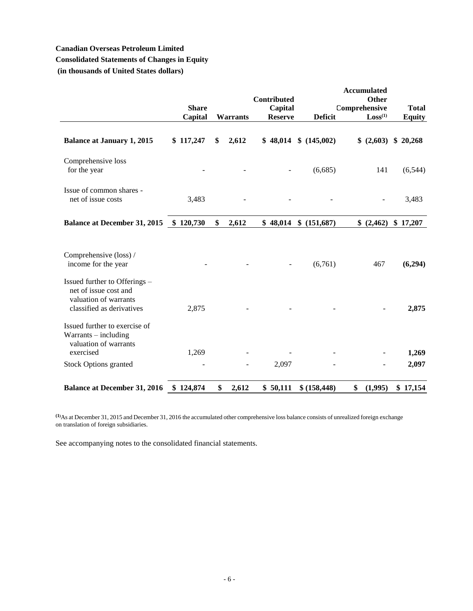# **Canadian Overseas Petroleum Limited**

# **Consolidated Statements of Changes in Equity**

**(in thousands of United States dollars)**

|                                                                                                              | <b>Share</b> |                 | Contributed<br>Capital |                | <b>Accumulated</b><br>Other<br>Comprehensive | <b>Total</b>  |
|--------------------------------------------------------------------------------------------------------------|--------------|-----------------|------------------------|----------------|----------------------------------------------|---------------|
|                                                                                                              | Capital      | <b>Warrants</b> | <b>Reserve</b>         | <b>Deficit</b> | Loss <sup>(1)</sup>                          | <b>Equity</b> |
| <b>Balance at January 1, 2015</b>                                                                            | \$117,247    | \$<br>2,612     | \$48,014               | \$(145,002)    | \$ (2,603)                                   | \$20,268      |
| Comprehensive loss<br>for the year                                                                           |              |                 |                        | (6,685)        | 141                                          | (6, 544)      |
| Issue of common shares -<br>net of issue costs                                                               | 3,483        |                 |                        |                |                                              | 3,483         |
| <b>Balance at December 31, 2015</b>                                                                          | \$120,730    | \$<br>2,612     | \$48,014               | \$ (151,687)   | (2,462)                                      | \$17,207      |
| Comprehensive (loss) /<br>income for the year                                                                |              |                 |                        | (6,761)        | 467                                          | (6,294)       |
| Issued further to Offerings -<br>net of issue cost and<br>valuation of warrants<br>classified as derivatives | 2,875        |                 |                        |                |                                              | 2,875         |
| Issued further to exercise of<br>$Warrants - including$<br>valuation of warrants<br>exercised                | 1,269        |                 |                        |                |                                              | 1,269         |
| <b>Stock Options granted</b>                                                                                 |              |                 | 2,097                  |                |                                              | 2,097         |
| <b>Balance at December 31, 2016</b>                                                                          | \$124,874    | \$<br>2,612     | \$50,111               | \$(158, 448)   | (1,995)<br>\$                                | \$17,154      |

**(1)**As at December 31, 2015 and December 31, 2016 the accumulated other comprehensive loss balance consists of unrealized foreign exchange on translation of foreign subsidiaries.

See accompanying notes to the consolidated financial statements.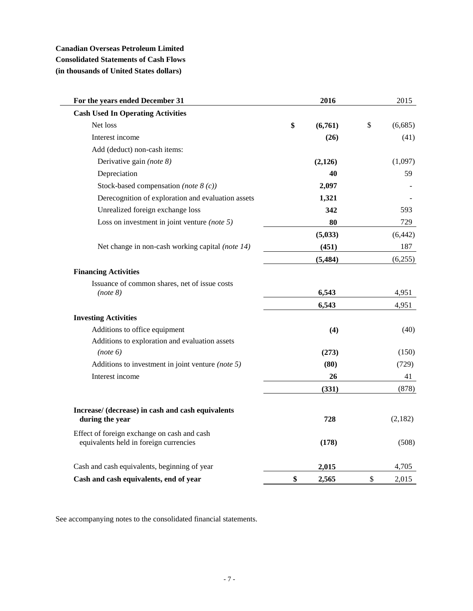# **Canadian Overseas Petroleum Limited Consolidated Statements of Cash Flows (in thousands of United States dollars)**

| For the years ended December 31                                                       | 2016          | 2015          |
|---------------------------------------------------------------------------------------|---------------|---------------|
| <b>Cash Used In Operating Activities</b>                                              |               |               |
| Net loss                                                                              | \$<br>(6,761) | \$<br>(6,685) |
| Interest income                                                                       | (26)          | (41)          |
| Add (deduct) non-cash items:                                                          |               |               |
| Derivative gain (note 8)                                                              | (2,126)       | (1,097)       |
| Depreciation                                                                          | 40            | 59            |
| Stock-based compensation (note $8(c)$ )                                               | 2,097         |               |
| Derecognition of exploration and evaluation assets                                    | 1,321         |               |
| Unrealized foreign exchange loss                                                      | 342           | 593           |
| Loss on investment in joint venture (note $5$ )                                       | 80            | 729           |
|                                                                                       | (5,033)       | (6, 442)      |
| Net change in non-cash working capital (note 14)                                      | (451)         | 187           |
|                                                                                       | (5, 484)      | (6,255)       |
| <b>Financing Activities</b>                                                           |               |               |
| Issuance of common shares, net of issue costs                                         |               |               |
| (note 8)                                                                              | 6,543         | 4,951         |
|                                                                                       | 6,543         | 4,951         |
| <b>Investing Activities</b>                                                           |               |               |
| Additions to office equipment                                                         | (4)           | (40)          |
| Additions to exploration and evaluation assets                                        |               |               |
| (note 6)                                                                              | (273)         | (150)         |
| Additions to investment in joint venture (note 5)                                     | (80)          | (729)         |
| Interest income                                                                       | 26            | 41            |
|                                                                                       | (331)         | (878)         |
| Increase/ (decrease) in cash and cash equivalents                                     |               |               |
| during the year                                                                       | 728           | (2,182)       |
| Effect of foreign exchange on cash and cash<br>equivalents held in foreign currencies | (178)         | (508)         |
| Cash and cash equivalents, beginning of year                                          | 2,015         | 4,705         |
|                                                                                       |               |               |
| Cash and cash equivalents, end of year                                                | \$<br>2,565   | \$<br>2,015   |

See accompanying notes to the consolidated financial statements.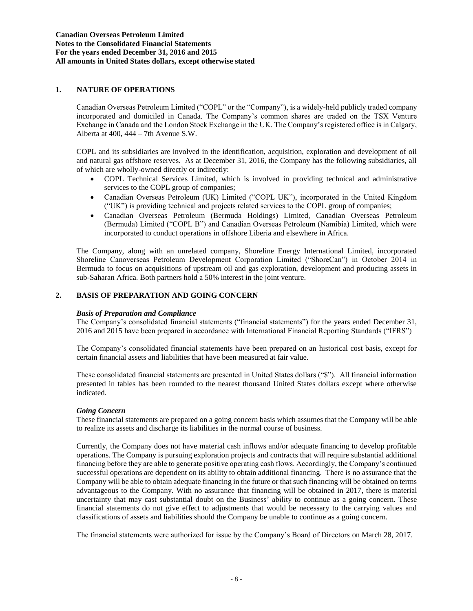# **1. NATURE OF OPERATIONS**

Canadian Overseas Petroleum Limited ("COPL" or the "Company"), is a widely-held publicly traded company incorporated and domiciled in Canada. The Company's common shares are traded on the TSX Venture Exchange in Canada and the London Stock Exchange in the UK. The Company's registered office is in Calgary, Alberta at 400, 444 – 7th Avenue S.W.

COPL and its subsidiaries are involved in the identification, acquisition, exploration and development of oil and natural gas offshore reserves. As at December 31, 2016, the Company has the following subsidiaries, all of which are wholly-owned directly or indirectly:

- COPL Technical Services Limited, which is involved in providing technical and administrative services to the COPL group of companies;
- Canadian Overseas Petroleum (UK) Limited ("COPL UK"), incorporated in the United Kingdom ("UK") is providing technical and projects related services to the COPL group of companies;
- Canadian Overseas Petroleum (Bermuda Holdings) Limited, Canadian Overseas Petroleum (Bermuda) Limited ("COPL B") and Canadian Overseas Petroleum (Namibia) Limited, which were incorporated to conduct operations in offshore Liberia and elsewhere in Africa.

The Company, along with an unrelated company, Shoreline Energy International Limited, incorporated Shoreline Canoverseas Petroleum Development Corporation Limited ("ShoreCan") in October 2014 in Bermuda to focus on acquisitions of upstream oil and gas exploration, development and producing assets in sub-Saharan Africa. Both partners hold a 50% interest in the joint venture.

# **2. BASIS OF PREPARATION AND GOING CONCERN**

## *Basis of Preparation and Compliance*

The Company's consolidated financial statements ("financial statements") for the years ended December 31, 2016 and 2015 have been prepared in accordance with International Financial Reporting Standards ("IFRS")

The Company's consolidated financial statements have been prepared on an historical cost basis, except for certain financial assets and liabilities that have been measured at fair value.

These consolidated financial statements are presented in United States dollars ("\$"). All financial information presented in tables has been rounded to the nearest thousand United States dollars except where otherwise indicated.

## *Going Concern*

These financial statements are prepared on a going concern basis which assumes that the Company will be able to realize its assets and discharge its liabilities in the normal course of business.

Currently, the Company does not have material cash inflows and/or adequate financing to develop profitable operations. The Company is pursuing exploration projects and contracts that will require substantial additional financing before they are able to generate positive operating cash flows. Accordingly, the Company's continued successful operations are dependent on its ability to obtain additional financing. There is no assurance that the Company will be able to obtain adequate financing in the future or that such financing will be obtained on terms advantageous to the Company. With no assurance that financing will be obtained in 2017, there is material uncertainty that may cast substantial doubt on the Business' ability to continue as a going concern. These financial statements do not give effect to adjustments that would be necessary to the carrying values and classifications of assets and liabilities should the Company be unable to continue as a going concern.

The financial statements were authorized for issue by the Company's Board of Directors on March 28, 2017.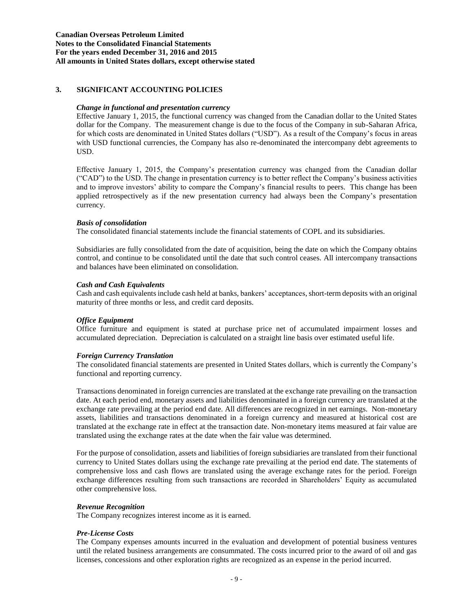# **3. SIGNIFICANT ACCOUNTING POLICIES**

## *Change in functional and presentation currency*

Effective January 1, 2015, the functional currency was changed from the Canadian dollar to the United States dollar for the Company. The measurement change is due to the focus of the Company in sub-Saharan Africa, for which costs are denominated in United States dollars ("USD"). As a result of the Company's focus in areas with USD functional currencies, the Company has also re-denominated the intercompany debt agreements to USD.

Effective January 1, 2015, the Company's presentation currency was changed from the Canadian dollar ("CAD") to the USD. The change in presentation currency is to better reflect the Company's business activities and to improve investors' ability to compare the Company's financial results to peers. This change has been applied retrospectively as if the new presentation currency had always been the Company's presentation currency.

## *Basis of consolidation*

The consolidated financial statements include the financial statements of COPL and its subsidiaries.

Subsidiaries are fully consolidated from the date of acquisition, being the date on which the Company obtains control, and continue to be consolidated until the date that such control ceases. All intercompany transactions and balances have been eliminated on consolidation.

## *Cash and Cash Equivalents*

Cash and cash equivalents include cash held at banks, bankers' acceptances, short-term deposits with an original maturity of three months or less, and credit card deposits.

## *Office Equipment*

Office furniture and equipment is stated at purchase price net of accumulated impairment losses and accumulated depreciation. Depreciation is calculated on a straight line basis over estimated useful life.

## *Foreign Currency Translation*

The consolidated financial statements are presented in United States dollars, which is currently the Company's functional and reporting currency.

Transactions denominated in foreign currencies are translated at the exchange rate prevailing on the transaction date. At each period end, monetary assets and liabilities denominated in a foreign currency are translated at the exchange rate prevailing at the period end date. All differences are recognized in net earnings. Non-monetary assets, liabilities and transactions denominated in a foreign currency and measured at historical cost are translated at the exchange rate in effect at the transaction date. Non-monetary items measured at fair value are translated using the exchange rates at the date when the fair value was determined.

For the purpose of consolidation, assets and liabilities of foreign subsidiaries are translated from their functional currency to United States dollars using the exchange rate prevailing at the period end date. The statements of comprehensive loss and cash flows are translated using the average exchange rates for the period. Foreign exchange differences resulting from such transactions are recorded in Shareholders' Equity as accumulated other comprehensive loss.

# *Revenue Recognition*

The Company recognizes interest income as it is earned.

# *Pre-License Costs*

The Company expenses amounts incurred in the evaluation and development of potential business ventures until the related business arrangements are consummated. The costs incurred prior to the award of oil and gas licenses, concessions and other exploration rights are recognized as an expense in the period incurred.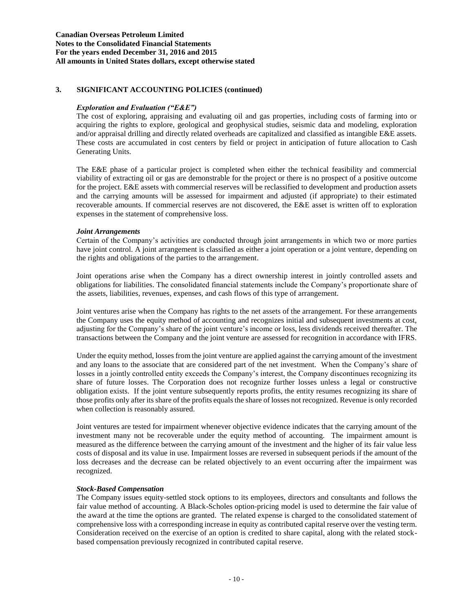## *Exploration and Evaluation ("E&E")*

The cost of exploring, appraising and evaluating oil and gas properties, including costs of farming into or acquiring the rights to explore, geological and geophysical studies, seismic data and modeling, exploration and/or appraisal drilling and directly related overheads are capitalized and classified as intangible E&E assets. These costs are accumulated in cost centers by field or project in anticipation of future allocation to Cash Generating Units.

The E&E phase of a particular project is completed when either the technical feasibility and commercial viability of extracting oil or gas are demonstrable for the project or there is no prospect of a positive outcome for the project. E&E assets with commercial reserves will be reclassified to development and production assets and the carrying amounts will be assessed for impairment and adjusted (if appropriate) to their estimated recoverable amounts. If commercial reserves are not discovered, the E&E asset is written off to exploration expenses in the statement of comprehensive loss.

## *Joint Arrangements*

Certain of the Company's activities are conducted through joint arrangements in which two or more parties have joint control. A joint arrangement is classified as either a joint operation or a joint venture, depending on the rights and obligations of the parties to the arrangement.

Joint operations arise when the Company has a direct ownership interest in jointly controlled assets and obligations for liabilities. The consolidated financial statements include the Company's proportionate share of the assets, liabilities, revenues, expenses, and cash flows of this type of arrangement.

Joint ventures arise when the Company has rights to the net assets of the arrangement. For these arrangements the Company uses the equity method of accounting and recognizes initial and subsequent investments at cost, adjusting for the Company's share of the joint venture's income or loss, less dividends received thereafter. The transactions between the Company and the joint venture are assessed for recognition in accordance with IFRS.

Under the equity method, losses from the joint venture are applied against the carrying amount of the investment and any loans to the associate that are considered part of the net investment. When the Company's share of losses in a jointly controlled entity exceeds the Company's interest, the Company discontinues recognizing its share of future losses. The Corporation does not recognize further losses unless a legal or constructive obligation exists. If the joint venture subsequently reports profits, the entity resumes recognizing its share of those profits only after its share of the profits equals the share of losses not recognized. Revenue is only recorded when collection is reasonably assured.

Joint ventures are tested for impairment whenever objective evidence indicates that the carrying amount of the investment many not be recoverable under the equity method of accounting. The impairment amount is measured as the difference between the carrying amount of the investment and the higher of its fair value less costs of disposal and its value in use. Impairment losses are reversed in subsequent periods if the amount of the loss decreases and the decrease can be related objectively to an event occurring after the impairment was recognized.

## *Stock-Based Compensation*

The Company issues equity-settled stock options to its employees, directors and consultants and follows the fair value method of accounting. A Black-Scholes option-pricing model is used to determine the fair value of the award at the time the options are granted. The related expense is charged to the consolidated statement of comprehensive loss with a corresponding increase in equity as contributed capital reserve over the vesting term. Consideration received on the exercise of an option is credited to share capital, along with the related stockbased compensation previously recognized in contributed capital reserve.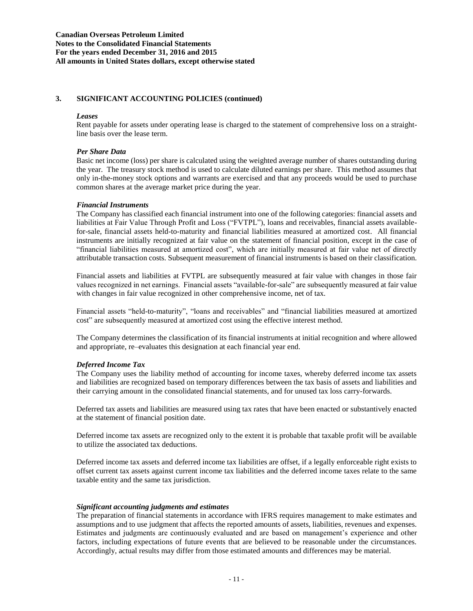#### *Leases*

Rent payable for assets under operating lease is charged to the statement of comprehensive loss on a straightline basis over the lease term.

## *Per Share Data*

Basic net income (loss) per share is calculated using the weighted average number of shares outstanding during the year. The treasury stock method is used to calculate diluted earnings per share. This method assumes that only in-the-money stock options and warrants are exercised and that any proceeds would be used to purchase common shares at the average market price during the year.

#### *Financial Instruments*

The Company has classified each financial instrument into one of the following categories: financial assets and liabilities at Fair Value Through Profit and Loss ("FVTPL"), loans and receivables, financial assets availablefor-sale, financial assets held-to-maturity and financial liabilities measured at amortized cost. All financial instruments are initially recognized at fair value on the statement of financial position, except in the case of "financial liabilities measured at amortized cost", which are initially measured at fair value net of directly attributable transaction costs. Subsequent measurement of financial instruments is based on their classification.

Financial assets and liabilities at FVTPL are subsequently measured at fair value with changes in those fair values recognized in net earnings. Financial assets "available-for-sale" are subsequently measured at fair value with changes in fair value recognized in other comprehensive income, net of tax.

Financial assets "held-to-maturity", "loans and receivables" and "financial liabilities measured at amortized cost" are subsequently measured at amortized cost using the effective interest method.

The Company determines the classification of its financial instruments at initial recognition and where allowed and appropriate, re–evaluates this designation at each financial year end.

## *Deferred Income Tax*

The Company uses the liability method of accounting for income taxes, whereby deferred income tax assets and liabilities are recognized based on temporary differences between the tax basis of assets and liabilities and their carrying amount in the consolidated financial statements, and for unused tax loss carry-forwards.

Deferred tax assets and liabilities are measured using tax rates that have been enacted or substantively enacted at the statement of financial position date.

Deferred income tax assets are recognized only to the extent it is probable that taxable profit will be available to utilize the associated tax deductions.

Deferred income tax assets and deferred income tax liabilities are offset, if a legally enforceable right exists to offset current tax assets against current income tax liabilities and the deferred income taxes relate to the same taxable entity and the same tax jurisdiction.

## *Significant accounting judgments and estimates*

The preparation of financial statements in accordance with IFRS requires management to make estimates and assumptions and to use judgment that affects the reported amounts of assets, liabilities, revenues and expenses. Estimates and judgments are continuously evaluated and are based on management's experience and other factors, including expectations of future events that are believed to be reasonable under the circumstances. Accordingly, actual results may differ from those estimated amounts and differences may be material.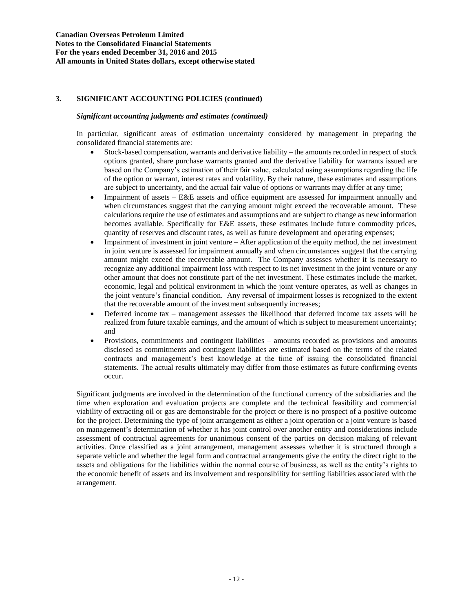## *Significant accounting judgments and estimates (continued)*

In particular, significant areas of estimation uncertainty considered by management in preparing the consolidated financial statements are:

- Stock-based compensation, warrants and derivative liability the amounts recorded in respect of stock options granted, share purchase warrants granted and the derivative liability for warrants issued are based on the Company's estimation of their fair value, calculated using assumptions regarding the life of the option or warrant, interest rates and volatility. By their nature, these estimates and assumptions are subject to uncertainty, and the actual fair value of options or warrants may differ at any time;
- Impairment of assets E&E assets and office equipment are assessed for impairment annually and when circumstances suggest that the carrying amount might exceed the recoverable amount. These calculations require the use of estimates and assumptions and are subject to change as new information becomes available. Specifically for E&E assets, these estimates include future commodity prices, quantity of reserves and discount rates, as well as future development and operating expenses;
- Impairment of investment in joint venture After application of the equity method, the net investment in joint venture is assessed for impairment annually and when circumstances suggest that the carrying amount might exceed the recoverable amount. The Company assesses whether it is necessary to recognize any additional impairment loss with respect to its net investment in the joint venture or any other amount that does not constitute part of the net investment. These estimates include the market, economic, legal and political environment in which the joint venture operates, as well as changes in the joint venture's financial condition. Any reversal of impairment losses is recognized to the extent that the recoverable amount of the investment subsequently increases;
- Deferred income tax management assesses the likelihood that deferred income tax assets will be realized from future taxable earnings, and the amount of which is subject to measurement uncertainty; and
- Provisions, commitments and contingent liabilities amounts recorded as provisions and amounts disclosed as commitments and contingent liabilities are estimated based on the terms of the related contracts and management's best knowledge at the time of issuing the consolidated financial statements. The actual results ultimately may differ from those estimates as future confirming events occur.

Significant judgments are involved in the determination of the functional currency of the subsidiaries and the time when exploration and evaluation projects are complete and the technical feasibility and commercial viability of extracting oil or gas are demonstrable for the project or there is no prospect of a positive outcome for the project. Determining the type of joint arrangement as either a joint operation or a joint venture is based on management's determination of whether it has joint control over another entity and considerations include assessment of contractual agreements for unanimous consent of the parties on decision making of relevant activities. Once classified as a joint arrangement, management assesses whether it is structured through a separate vehicle and whether the legal form and contractual arrangements give the entity the direct right to the assets and obligations for the liabilities within the normal course of business, as well as the entity's rights to the economic benefit of assets and its involvement and responsibility for settling liabilities associated with the arrangement.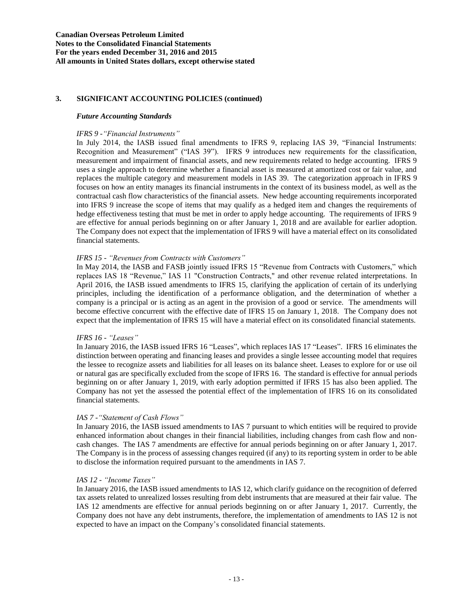#### *Future Accounting Standards*

#### *IFRS 9 -"Financial Instruments"*

In July 2014, the IASB issued final amendments to IFRS 9, replacing IAS 39, "Financial Instruments: Recognition and Measurement" ("IAS 39"). IFRS 9 introduces new requirements for the classification, measurement and impairment of financial assets, and new requirements related to hedge accounting. IFRS 9 uses a single approach to determine whether a financial asset is measured at amortized cost or fair value, and replaces the multiple category and measurement models in IAS 39. The categorization approach in IFRS 9 focuses on how an entity manages its financial instruments in the context of its business model, as well as the contractual cash flow characteristics of the financial assets. New hedge accounting requirements incorporated into IFRS 9 increase the scope of items that may qualify as a hedged item and changes the requirements of hedge effectiveness testing that must be met in order to apply hedge accounting. The requirements of IFRS 9 are effective for annual periods beginning on or after January 1, 2018 and are available for earlier adoption. The Company does not expect that the implementation of IFRS 9 will have a material effect on its consolidated financial statements.

## *IFRS 15 - "Revenues from Contracts with Customers"*

In May 2014, the IASB and FASB jointly issued IFRS 15 "Revenue from Contracts with Customers," which replaces IAS 18 "Revenue," IAS 11 "Construction Contracts," and other revenue related interpretations. In April 2016, the IASB issued amendments to IFRS 15, clarifying the application of certain of its underlying principles, including the identification of a performance obligation, and the determination of whether a company is a principal or is acting as an agent in the provision of a good or service. The amendments will become effective concurrent with the effective date of IFRS 15 on January 1, 2018. The Company does not expect that the implementation of IFRS 15 will have a material effect on its consolidated financial statements.

## *IFRS 16 - "Leases"*

In January 2016, the IASB issued IFRS 16 "Leases", which replaces IAS 17 "Leases". IFRS 16 eliminates the distinction between operating and financing leases and provides a single lessee accounting model that requires the lessee to recognize assets and liabilities for all leases on its balance sheet. Leases to explore for or use oil or natural gas are specifically excluded from the scope of IFRS 16. The standard is effective for annual periods beginning on or after January 1, 2019, with early adoption permitted if IFRS 15 has also been applied. The Company has not yet the assessed the potential effect of the implementation of IFRS 16 on its consolidated financial statements.

## *IAS 7 -"Statement of Cash Flows"*

In January 2016, the IASB issued amendments to IAS 7 pursuant to which entities will be required to provide enhanced information about changes in their financial liabilities, including changes from cash flow and noncash changes. The IAS 7 amendments are effective for annual periods beginning on or after January 1, 2017. The Company is in the process of assessing changes required (if any) to its reporting system in order to be able to disclose the information required pursuant to the amendments in IAS 7.

## *IAS 12 - "Income Taxes"*

In January 2016, the IASB issued amendments to IAS 12, which clarify guidance on the recognition of deferred tax assets related to unrealized losses resulting from debt instruments that are measured at their fair value. The IAS 12 amendments are effective for annual periods beginning on or after January 1, 2017. Currently, the Company does not have any debt instruments, therefore, the implementation of amendments to IAS 12 is not expected to have an impact on the Company's consolidated financial statements.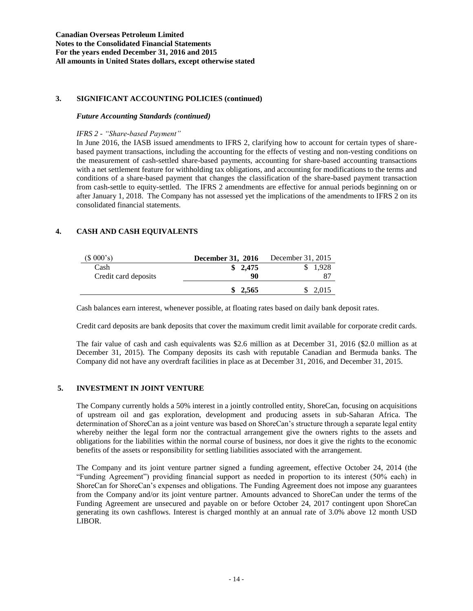#### *Future Accounting Standards (continued)*

*IFRS 2 - "Share-based Payment"* 

In June 2016, the IASB issued amendments to IFRS 2, clarifying how to account for certain types of sharebased payment transactions, including the accounting for the effects of vesting and non-vesting conditions on the measurement of cash-settled share-based payments, accounting for share-based accounting transactions with a net settlement feature for withholding tax obligations, and accounting for modifications to the terms and conditions of a share-based payment that changes the classification of the share-based payment transaction from cash-settle to equity-settled. The IFRS 2 amendments are effective for annual periods beginning on or after January 1, 2018. The Company has not assessed yet the implications of the amendments to IFRS 2 on its consolidated financial statements.

# **4. CASH AND CASH EQUIVALENTS**

| (\$000's)            | December 31, 2016 | December 31, 2015 |
|----------------------|-------------------|-------------------|
| Cash                 | \$2,475           | 1.928             |
| Credit card deposits | 90                | 87                |
|                      | \$2,565           | 2,015             |

Cash balances earn interest, whenever possible, at floating rates based on daily bank deposit rates.

Credit card deposits are bank deposits that cover the maximum credit limit available for corporate credit cards.

The fair value of cash and cash equivalents was \$2.6 million as at December 31, 2016 (\$2.0 million as at December 31, 2015). The Company deposits its cash with reputable Canadian and Bermuda banks. The Company did not have any overdraft facilities in place as at December 31, 2016, and December 31, 2015.

# **5. INVESTMENT IN JOINT VENTURE**

The Company currently holds a 50% interest in a jointly controlled entity, ShoreCan, focusing on acquisitions of upstream oil and gas exploration, development and producing assets in sub-Saharan Africa. The determination of ShoreCan as a joint venture was based on ShoreCan's structure through a separate legal entity whereby neither the legal form nor the contractual arrangement give the owners rights to the assets and obligations for the liabilities within the normal course of business, nor does it give the rights to the economic benefits of the assets or responsibility for settling liabilities associated with the arrangement.

The Company and its joint venture partner signed a funding agreement, effective October 24, 2014 (the "Funding Agreement") providing financial support as needed in proportion to its interest (50% each) in ShoreCan for ShoreCan's expenses and obligations. The Funding Agreement does not impose any guarantees from the Company and/or its joint venture partner. Amounts advanced to ShoreCan under the terms of the Funding Agreement are unsecured and payable on or before October 24, 2017 contingent upon ShoreCan generating its own cashflows. Interest is charged monthly at an annual rate of 3.0% above 12 month USD LIBOR.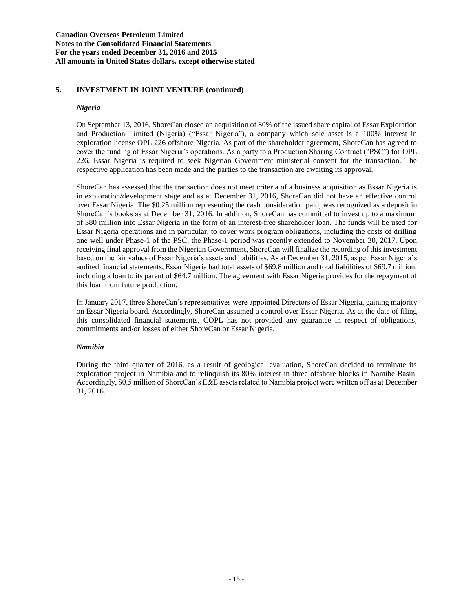# **5. INVESTMENT IN JOINT VENTURE (continued)**

## *Nigeria*

On September 13, 2016, ShoreCan closed an acquisition of 80% of the issued share capital of Essar Exploration and Production Limited (Nigeria) ("Essar Nigeria"), a company which sole asset is a 100% interest in exploration license OPL 226 offshore Nigeria. As part of the shareholder agreement, ShoreCan has agreed to cover the funding of Essar Nigeria's operations. As a party to a Production Sharing Contract ("PSC") for OPL 226, Essar Nigeria is required to seek Nigerian Government ministerial consent for the transaction. The respective application has been made and the parties to the transaction are awaiting its approval.

ShoreCan has assessed that the transaction does not meet criteria of a business acquisition as Essar Nigeria is in exploration/development stage and as at December 31, 2016, ShoreCan did not have an effective control over Essar Nigeria. The \$0.25 million representing the cash consideration paid, was recognized as a deposit in ShoreCan's books as at December 31, 2016. In addition, ShoreCan has committed to invest up to a maximum of \$80 million into Essar Nigeria in the form of an interest-free shareholder loan. The funds will be used for Essar Nigeria operations and in particular, to cover work program obligations, including the costs of drilling one well under Phase-1 of the PSC; the Phase-1 period was recently extended to November 30, 2017. Upon receiving final approval from the Nigerian Government, ShoreCan will finalize the recording of this investment based on the fair values of Essar Nigeria's assets and liabilities. As at December 31, 2015, as per Essar Nigeria's audited financial statements, Essar Nigeria had total assets of \$69.8 million and total liabilities of \$69.7 million, including a loan to its parent of \$64.7 million. The agreement with Essar Nigeria provides for the repayment of this loan from future production.

In January 2017, three ShoreCan's representatives were appointed Directors of Essar Nigeria, gaining majority on Essar Nigeria board. Accordingly, ShoreCan assumed a control over Essar Nigeria. As at the date of filing this consolidated financial statements, COPL has not provided any guarantee in respect of obligations, commitments and/or losses of either ShoreCan or Essar Nigeria.

# *Namibia*

During the third quarter of 2016, as a result of geological evaluation, ShoreCan decided to terminate its exploration project in Namibia and to relinquish its 80% interest in three offshore blocks in Namibe Basin. Accordingly, \$0.5 million of ShoreCan's E&E assets related to Namibia project were written off as at December 31, 2016.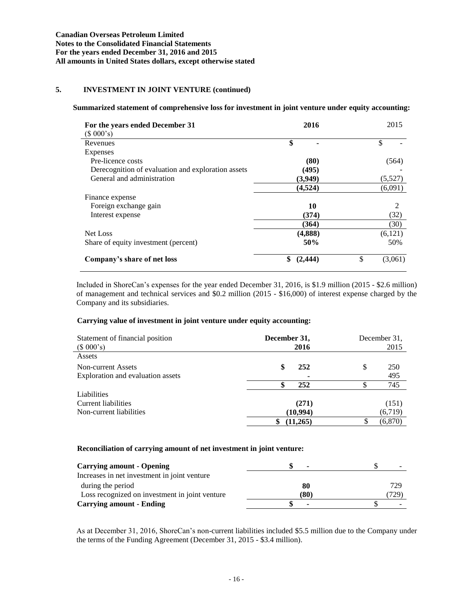# **5. INVESTMENT IN JOINT VENTURE (continued)**

# **Summarized statement of comprehensive loss for investment in joint venture under equity accounting:**

| For the years ended December 31<br>(\$000's)       | 2016           | 2015          |
|----------------------------------------------------|----------------|---------------|
| Revenues                                           | \$             | \$            |
| Expenses                                           |                |               |
| Pre-licence costs                                  | (80)           | (564)         |
| Derecognition of evaluation and exploration assets | (495)          |               |
| General and administration                         | (3,949)        | (5,527)       |
|                                                    | (4,524)        | (6,091)       |
| Finance expense                                    |                |               |
| Foreign exchange gain                              | 10             | 2             |
| Interest expense                                   | (374)          | (32)          |
|                                                    | (364)          | (30)          |
| Net Loss                                           | (4,888)        | (6,121)       |
| Share of equity investment (percent)               | 50%            | 50%           |
| Company's share of net loss                        | \$<br>(2, 444) | \$<br>(3,061) |

Included in ShoreCan's expenses for the year ended December 31, 2016, is \$1.9 million (2015 - \$2.6 million) of management and technical services and \$0.2 million (2015 - \$16,000) of interest expense charged by the Company and its subsidiaries.

## **Carrying value of investment in joint venture under equity accounting:**

| Statement of financial position<br>(\$000's) | December 31,<br>2016 | December 31.<br>2015 |
|----------------------------------------------|----------------------|----------------------|
| Assets                                       |                      |                      |
| Non-current Assets                           | S<br>252             | \$<br>250            |
| Exploration and evaluation assets            | ۰                    | 495                  |
|                                              | 252                  | 745                  |
| Liabilities                                  |                      |                      |
| Current liabilities                          | (271)                | (151)                |
| Non-current liabilities                      | (10,994)             | (6,719)              |
|                                              | (11,265)             | (6,870)              |

## **Reconciliation of carrying amount of net investment in joint venture:**

| <b>Carrying amount - Opening</b>               | $\overline{\phantom{a}}$ |      |
|------------------------------------------------|--------------------------|------|
| Increases in net investment in joint venture   |                          |      |
| during the period                              | 80                       | 729  |
| Loss recognized on investment in joint venture | (80)                     | 729) |
| <b>Carrying amount - Ending</b>                | ٠                        |      |

As at December 31, 2016, ShoreCan's non-current liabilities included \$5.5 million due to the Company under the terms of the Funding Agreement (December 31, 2015 - \$3.4 million).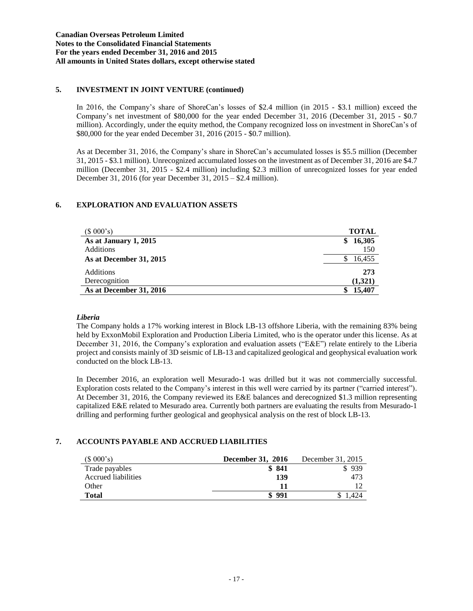# **5. INVESTMENT IN JOINT VENTURE (continued)**

In 2016, the Company's share of ShoreCan's losses of \$2.4 million (in 2015 - \$3.1 million) exceed the Company's net investment of \$80,000 for the year ended December 31, 2016 (December 31, 2015 - \$0.7 million). Accordingly, under the equity method, the Company recognized loss on investment in ShoreCan's of \$80,000 for the year ended December 31, 2016 (2015 - \$0.7 million).

As at December 31, 2016, the Company's share in ShoreCan's accumulated losses is \$5.5 million (December 31, 2015 - \$3.1 million). Unrecognized accumulated losses on the investment as of December 31, 2016 are \$4.7 million (December 31, 2015 - \$2.4 million) including \$2.3 million of unrecognized losses for year ended December 31, 2016 (for year December 31, 2015 – \$2.4 million).

# **6. EXPLORATION AND EVALUATION ASSETS**

| (\$000's)               | <b>TOTAL</b> |
|-------------------------|--------------|
| As at January 1, 2015   | 16,305<br>S  |
| <b>Additions</b>        | 150          |
| As at December 31, 2015 | 16,455       |
| Additions               | 273          |
| Derecognition           | (1,321)      |
| As at December 31, 2016 | 15,407       |

# *Liberia*

The Company holds a 17% working interest in Block LB-13 offshore Liberia, with the remaining 83% being held by ExxonMobil Exploration and Production Liberia Limited, who is the operator under this license. As at December 31, 2016, the Company's exploration and evaluation assets ("E&E") relate entirely to the Liberia project and consists mainly of 3D seismic of LB-13 and capitalized geological and geophysical evaluation work conducted on the block LB-13.

In December 2016, an exploration well Mesurado-1 was drilled but it was not commercially successful. Exploration costs related to the Company's interest in this well were carried by its partner ("carried interest"). At December 31, 2016, the Company reviewed its E&E balances and derecognized \$1.3 million representing capitalized E&E related to Mesurado area. Currently both partners are evaluating the results from Mesurado-1 drilling and performing further geological and geophysical analysis on the rest of block LB-13.

# **7. ACCOUNTS PAYABLE AND ACCRUED LIABILITIES**

| (\$000's)           | December 31, 2016 | December 31, 2015 |
|---------------------|-------------------|-------------------|
| Trade payables      | \$841             | \$939             |
| Accrued liabilities | 139               | 473               |
| Other               | 11                |                   |
| <b>Total</b>        | \$991             |                   |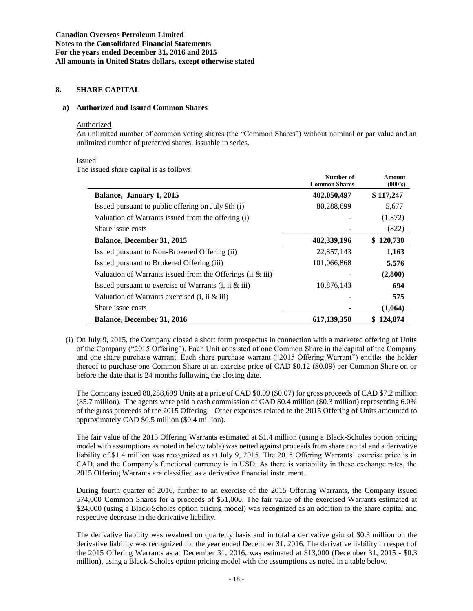# **8. SHARE CAPITAL**

#### **a) Authorized and Issued Common Shares**

#### Authorized

An unlimited number of common voting shares (the "Common Shares") without nominal or par value and an unlimited number of preferred shares, issuable in series.

#### Issued

The issued share capital is as follows:

| issued share eaplied is as follows.                           | Number of<br><b>Common Shares</b> | <b>Amount</b><br>(000's) |
|---------------------------------------------------------------|-----------------------------------|--------------------------|
| Balance, January 1, 2015                                      | 402,050,497                       | \$117,247                |
| Issued pursuant to public offering on July 9th (i)            | 80,288,699                        | 5,677                    |
| Valuation of Warrants issued from the offering (i)            |                                   | (1,372)                  |
| Share issue costs                                             |                                   | (822)                    |
| <b>Balance, December 31, 2015</b>                             | 482,339,196                       | 120,730                  |
| Issued pursuant to Non-Brokered Offering (ii)                 | 22,857,143                        | 1,163                    |
| Issued pursuant to Brokered Offering (iii)                    | 101,066,868                       | 5,576                    |
| Valuation of Warrants issued from the Offerings (ii $\&$ iii) |                                   | (2,800)                  |
| Issued pursuant to exercise of Warrants $(i, ii \& iii)$      | 10,876,143                        | 694                      |
| Valuation of Warrants exercised $(i, ii ⅈ)$                   |                                   | 575                      |
| Share issue costs                                             |                                   | (1,064)                  |
| <b>Balance, December 31, 2016</b>                             | 617,139,350                       | 124,874                  |

(i) On July 9, 2015, the Company closed a short form prospectus in connection with a marketed offering of Units of the Company ("2015 Offering"). Each Unit consisted of one Common Share in the capital of the Company and one share purchase warrant. Each share purchase warrant ("2015 Offering Warrant") entitles the holder thereof to purchase one Common Share at an exercise price of CAD \$0.12 (\$0.09) per Common Share on or before the date that is 24 months following the closing date.

The Company issued 80,288,699 Units at a price of CAD \$0.09 (\$0.07) for gross proceeds of CAD \$7.2 million (\$5.7 million). The agents were paid a cash commission of CAD \$0.4 million (\$0.3 million) representing 6.0% of the gross proceeds of the 2015 Offering. Other expenses related to the 2015 Offering of Units amounted to approximately CAD \$0.5 million (\$0.4 million).

The fair value of the 2015 Offering Warrants estimated at \$1.4 million (using a Black-Scholes option pricing model with assumptions as noted in below table) was netted against proceeds from share capital and a derivative liability of \$1.4 million was recognized as at July 9, 2015. The 2015 Offering Warrants' exercise price is in CAD, and the Company's functional currency is in USD. As there is variability in these exchange rates, the 2015 Offering Warrants are classified as a derivative financial instrument.

During fourth quarter of 2016, further to an exercise of the 2015 Offering Warrants, the Company issued 574,000 Common Shares for a proceeds of \$51,000. The fair value of the exercised Warrants estimated at \$24,000 (using a Black-Scholes option pricing model) was recognized as an addition to the share capital and respective decrease in the derivative liability.

The derivative liability was revalued on quarterly basis and in total a derivative gain of \$0.3 million on the derivative liability was recognized for the year ended December 31, 2016. The derivative liability in respect of the 2015 Offering Warrants as at December 31, 2016, was estimated at \$13,000 (December 31, 2015 - \$0.3 million), using a Black-Scholes option pricing model with the assumptions as noted in a table below.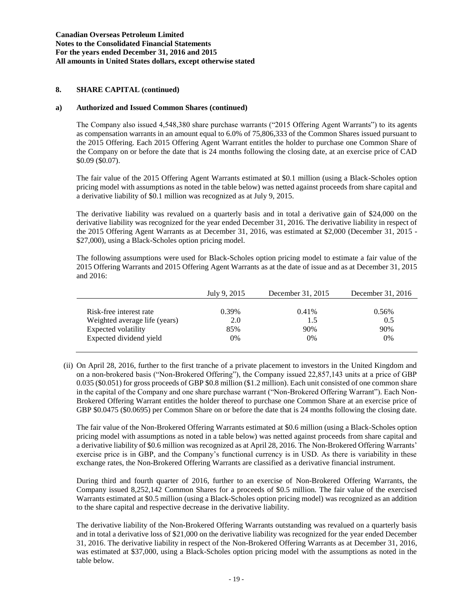## **a) Authorized and Issued Common Shares (continued)**

The Company also issued 4,548,380 share purchase warrants ("2015 Offering Agent Warrants") to its agents as compensation warrants in an amount equal to 6.0% of 75,806,333 of the Common Shares issued pursuant to the 2015 Offering. Each 2015 Offering Agent Warrant entitles the holder to purchase one Common Share of the Company on or before the date that is 24 months following the closing date, at an exercise price of CAD \$0.09 (\$0.07).

The fair value of the 2015 Offering Agent Warrants estimated at \$0.1 million (using a Black-Scholes option pricing model with assumptions as noted in the table below) was netted against proceeds from share capital and a derivative liability of \$0.1 million was recognized as at July 9, 2015.

The derivative liability was revalued on a quarterly basis and in total a derivative gain of \$24,000 on the derivative liability was recognized for the year ended December 31, 2016. The derivative liability in respect of the 2015 Offering Agent Warrants as at December 31, 2016, was estimated at \$2,000 (December 31, 2015 - \$27,000), using a Black-Scholes option pricing model.

The following assumptions were used for Black-Scholes option pricing model to estimate a fair value of the 2015 Offering Warrants and 2015 Offering Agent Warrants as at the date of issue and as at December 31, 2015 and 2016:

|                               | July 9, 2015 | December 31, 2015 | December 31, 2016 |
|-------------------------------|--------------|-------------------|-------------------|
|                               |              |                   |                   |
| Risk-free interest rate       | 0.39%        | 0.41%             | 0.56%             |
| Weighted average life (years) | 2.0          | 1.5               | 0.5               |
| Expected volatility           | 85%          | 90%               | 90%               |
| Expected dividend yield       | 0%           | 0%                | 0%                |
|                               |              |                   |                   |

(ii) On April 28, 2016, further to the first tranche of a private placement to investors in the United Kingdom and on a non-brokered basis ("Non-Brokered Offering"), the Company issued 22,857,143 units at a price of GBP 0.035 (\$0.051) for gross proceeds of GBP \$0.8 million (\$1.2 million). Each unit consisted of one common share in the capital of the Company and one share purchase warrant ("Non-Brokered Offering Warrant"). Each Non-Brokered Offering Warrant entitles the holder thereof to purchase one Common Share at an exercise price of GBP \$0.0475 (\$0.0695) per Common Share on or before the date that is 24 months following the closing date.

The fair value of the Non-Brokered Offering Warrants estimated at \$0.6 million (using a Black-Scholes option pricing model with assumptions as noted in a table below) was netted against proceeds from share capital and a derivative liability of \$0.6 million was recognized as at April 28, 2016. The Non-Brokered Offering Warrants' exercise price is in GBP, and the Company's functional currency is in USD. As there is variability in these exchange rates, the Non-Brokered Offering Warrants are classified as a derivative financial instrument.

During third and fourth quarter of 2016, further to an exercise of Non-Brokered Offering Warrants, the Company issued 8,252,142 Common Shares for a proceeds of \$0.5 million. The fair value of the exercised Warrants estimated at \$0.5 million (using a Black-Scholes option pricing model) was recognized as an addition to the share capital and respective decrease in the derivative liability.

The derivative liability of the Non-Brokered Offering Warrants outstanding was revalued on a quarterly basis and in total a derivative loss of \$21,000 on the derivative liability was recognized for the year ended December 31, 2016. The derivative liability in respect of the Non-Brokered Offering Warrants as at December 31, 2016, was estimated at \$37,000, using a Black-Scholes option pricing model with the assumptions as noted in the table below.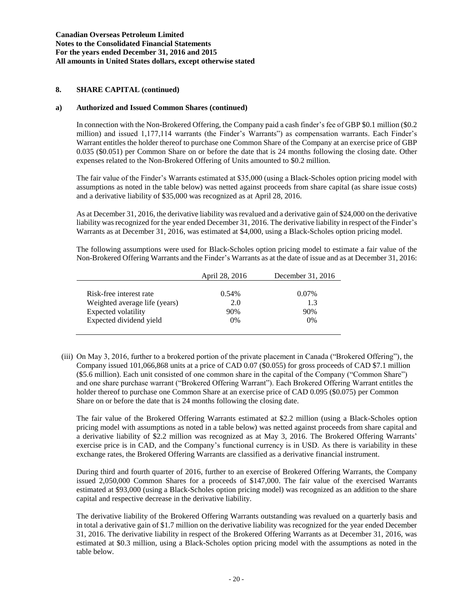## **a) Authorized and Issued Common Shares (continued)**

In connection with the Non-Brokered Offering, the Company paid a cash finder's fee of GBP \$0.1 million (\$0.2 million) and issued 1,177,114 warrants (the Finder's Warrants") as compensation warrants. Each Finder's Warrant entitles the holder thereof to purchase one Common Share of the Company at an exercise price of GBP 0.035 (\$0.051) per Common Share on or before the date that is 24 months following the closing date. Other expenses related to the Non-Brokered Offering of Units amounted to \$0.2 million.

The fair value of the Finder's Warrants estimated at \$35,000 (using a Black-Scholes option pricing model with assumptions as noted in the table below) was netted against proceeds from share capital (as share issue costs) and a derivative liability of \$35,000 was recognized as at April 28, 2016.

As at December 31, 2016, the derivative liability was revalued and a derivative gain of \$24,000 on the derivative liability was recognized for the year ended December 31, 2016. The derivative liability in respect of the Finder's Warrants as at December 31, 2016, was estimated at \$4,000, using a Black-Scholes option pricing model.

The following assumptions were used for Black-Scholes option pricing model to estimate a fair value of the Non-Brokered Offering Warrants and the Finder's Warrants as at the date of issue and as at December 31, 2016:

|                               | April 28, 2016 | December 31, 2016 |
|-------------------------------|----------------|-------------------|
|                               |                |                   |
| Risk-free interest rate       | $0.54\%$       | $0.07\%$          |
| Weighted average life (years) | 2.0            | 1.3               |
| Expected volatility           | 90%            | 90%               |
| Expected dividend yield       | $0\%$          | $0\%$             |
|                               |                |                   |

(iii) On May 3, 2016, further to a brokered portion of the private placement in Canada ("Brokered Offering"), the Company issued 101,066,868 units at a price of CAD 0.07 (\$0.055) for gross proceeds of CAD \$7.1 million (\$5.6 million). Each unit consisted of one common share in the capital of the Company ("Common Share") and one share purchase warrant ("Brokered Offering Warrant"). Each Brokered Offering Warrant entitles the holder thereof to purchase one Common Share at an exercise price of CAD 0.095 (\$0.075) per Common Share on or before the date that is 24 months following the closing date.

The fair value of the Brokered Offering Warrants estimated at \$2.2 million (using a Black-Scholes option pricing model with assumptions as noted in a table below) was netted against proceeds from share capital and a derivative liability of \$2.2 million was recognized as at May 3, 2016. The Brokered Offering Warrants' exercise price is in CAD, and the Company's functional currency is in USD. As there is variability in these exchange rates, the Brokered Offering Warrants are classified as a derivative financial instrument.

During third and fourth quarter of 2016, further to an exercise of Brokered Offering Warrants, the Company issued 2,050,000 Common Shares for a proceeds of \$147,000. The fair value of the exercised Warrants estimated at \$93,000 (using a Black-Scholes option pricing model) was recognized as an addition to the share capital and respective decrease in the derivative liability.

The derivative liability of the Brokered Offering Warrants outstanding was revalued on a quarterly basis and in total a derivative gain of \$1.7 million on the derivative liability was recognized for the year ended December 31, 2016. The derivative liability in respect of the Brokered Offering Warrants as at December 31, 2016, was estimated at \$0.3 million, using a Black-Scholes option pricing model with the assumptions as noted in the table below.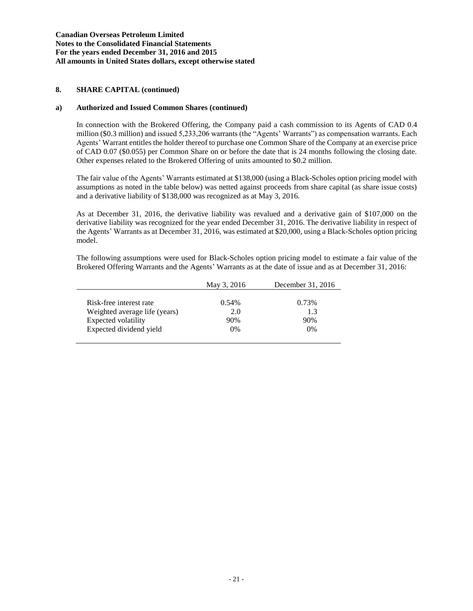## **a) Authorized and Issued Common Shares (continued)**

In connection with the Brokered Offering, the Company paid a cash commission to its Agents of CAD 0.4 million (\$0.3 million) and issued 5,233,206 warrants (the "Agents' Warrants") as compensation warrants. Each Agents' Warrant entitles the holder thereof to purchase one Common Share of the Company at an exercise price of CAD 0.07 (\$0.055) per Common Share on or before the date that is 24 months following the closing date. Other expenses related to the Brokered Offering of units amounted to \$0.2 million.

The fair value of the Agents' Warrants estimated at \$138,000 (using a Black-Scholes option pricing model with assumptions as noted in the table below) was netted against proceeds from share capital (as share issue costs) and a derivative liability of \$138,000 was recognized as at May 3, 2016.

As at December 31, 2016, the derivative liability was revalued and a derivative gain of \$107,000 on the derivative liability was recognized for the year ended December 31, 2016. The derivative liability in respect of the Agents' Warrants as at December 31, 2016, was estimated at \$20,000, using a Black-Scholes option pricing model.

The following assumptions were used for Black-Scholes option pricing model to estimate a fair value of the Brokered Offering Warrants and the Agents' Warrants as at the date of issue and as at December 31, 2016:

|                               | December 31, 2016<br>May 3, 2016 |       |
|-------------------------------|----------------------------------|-------|
|                               |                                  |       |
| Risk-free interest rate       | $0.54\%$                         | 0.73% |
| Weighted average life (years) | 2.0                              | 1.3   |
| Expected volatility           | 90%                              | 90%   |
| Expected dividend yield       | $0\%$                            | 0%    |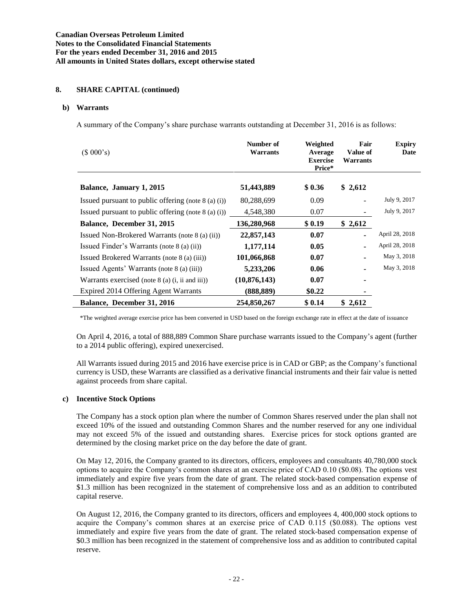## **b) Warrants**

A summary of the Company's share purchase warrants outstanding at December 31, 2016 is as follows:

| (\$000's)                                             | Number of<br>Warrants | Weighted<br>Average<br><b>Exercise</b><br>Price* | Fair<br>Value of<br>Warrants | <b>Expiry</b><br>Date |
|-------------------------------------------------------|-----------------------|--------------------------------------------------|------------------------------|-----------------------|
| Balance, January 1, 2015                              | 51,443,889            | \$0.36                                           | \$2,612                      |                       |
| Issued pursuant to public offering (note $8$ (a) (i)) | 80,288,699            | 0.09                                             |                              | July 9, 2017          |
| Issued pursuant to public offering (note $8$ (a) (i)) | 4,548,380             | 0.07                                             |                              | July 9, 2017          |
| Balance, December 31, 2015                            | 136,280,968           | \$0.19                                           | \$2,612                      |                       |
| Issued Non-Brokered Warrants (note 8 (a) (ii))        | 22,857,143            | 0.07                                             |                              | April 28, 2018        |
| Issued Finder's Warrants (note 8 (a) (ii))            | 1,177,114             | 0.05                                             |                              | April 28, 2018        |
| Issued Brokered Warrants (note 8 (a) (iii))           | 101,066,868           | 0.07                                             |                              | May 3, 2018           |
| Issued Agents' Warrants (note 8 (a) (iii))            | 5,233,206             | 0.06                                             |                              | May 3, 2018           |
| Warrants exercised (note $8$ (a) (i, ii and iii))     | (10, 876, 143)        | 0.07                                             |                              |                       |
| Expired 2014 Offering Agent Warrants                  | (888, 889)            | \$0.22                                           |                              |                       |
| Balance, December 31, 2016                            | 254,850,267           | \$0.14                                           | \$2,612                      |                       |

\*The weighted average exercise price has been converted in USD based on the foreign exchange rate in effect at the date of issuance

On April 4, 2016, a total of 888,889 Common Share purchase warrants issued to the Company's agent (further to a 2014 public offering), expired unexercised.

All Warrants issued during 2015 and 2016 have exercise price is in CAD or GBP; as the Company's functional currency is USD, these Warrants are classified as a derivative financial instruments and their fair value is netted against proceeds from share capital.

## **c) Incentive Stock Options**

The Company has a stock option plan where the number of Common Shares reserved under the plan shall not exceed 10% of the issued and outstanding Common Shares and the number reserved for any one individual may not exceed 5% of the issued and outstanding shares. Exercise prices for stock options granted are determined by the closing market price on the day before the date of grant.

On May 12, 2016, the Company granted to its directors, officers, employees and consultants 40,780,000 stock options to acquire the Company's common shares at an exercise price of CAD 0.10 (\$0.08). The options vest immediately and expire five years from the date of grant. The related stock-based compensation expense of \$1.3 million has been recognized in the statement of comprehensive loss and as an addition to contributed capital reserve.

On August 12, 2016, the Company granted to its directors, officers and employees 4, 400,000 stock options to acquire the Company's common shares at an exercise price of CAD 0.115 (\$0.088). The options vest immediately and expire five years from the date of grant. The related stock-based compensation expense of \$0.3 million has been recognized in the statement of comprehensive loss and as addition to contributed capital reserve.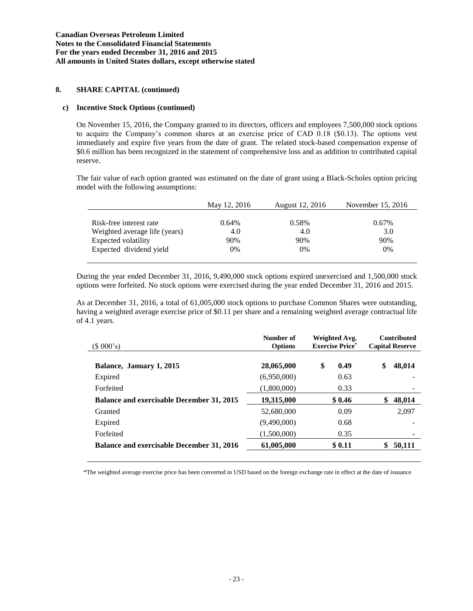## **c) Incentive Stock Options (continued)**

On November 15, 2016, the Company granted to its directors, officers and employees 7,500,000 stock options to acquire the Company's common shares at an exercise price of CAD 0.18 (\$0.13). The options vest immediately and expire five years from the date of grant. The related stock-based compensation expense of \$0.6 million has been recognized in the statement of comprehensive loss and as addition to contributed capital reserve.

The fair value of each option granted was estimated on the date of grant using a Black-Scholes option pricing model with the following assumptions:

|                               | May 12, 2016 | August 12, 2016 | November 15, 2016 |
|-------------------------------|--------------|-----------------|-------------------|
|                               |              |                 |                   |
| Risk-free interest rate       | $0.64\%$     | 0.58%           | 0.67%             |
| Weighted average life (years) | 4.0          | 4.0             | 3.0               |
| Expected volatility           | 90%          | 90%             | 90%               |
| Expected dividend yield       | 0%           | 0%              | $0\%$             |

During the year ended December 31, 2016, 9,490,000 stock options expired unexercised and 1,500,000 stock options were forfeited. No stock options were exercised during the year ended December 31, 2016 and 2015.

As at December 31, 2016, a total of 61,005,000 stock options to purchase Common Shares were outstanding, having a weighted average exercise price of \$0.11 per share and a remaining weighted average contractual life of 4.1 years.

| (\$000's)                                        | Number of<br><b>Options</b> | Weighted Avg.<br><b>Exercise Price*</b> | <b>Contributed</b><br><b>Capital Reserve</b> |
|--------------------------------------------------|-----------------------------|-----------------------------------------|----------------------------------------------|
| Balance, January 1, 2015                         | 28,065,000                  | \$<br>0.49                              | \$<br>48,014                                 |
| Expired                                          | (6,950,000)                 | 0.63                                    |                                              |
| Forfeited                                        | (1,800,000)                 | 0.33                                    |                                              |
| Balance and exercisable December 31, 2015        | 19,315,000                  | \$0.46                                  | 48,014<br>\$                                 |
| Granted                                          | 52,680,000                  | 0.09                                    | 2,097                                        |
| Expired                                          | (9,490,000)                 | 0.68                                    |                                              |
| Forfeited                                        | (1,500,000)                 | 0.35                                    |                                              |
| <b>Balance and exercisable December 31, 2016</b> | 61,005,000                  | \$0.11                                  | 50,111<br>S.                                 |

\*The weighted average exercise price has been converted in USD based on the foreign exchange rate in effect at the date of issuance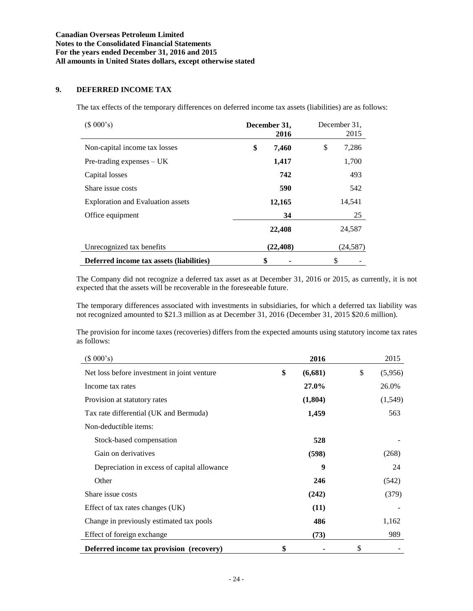# **9. DEFERRED INCOME TAX**

The tax effects of the temporary differences on deferred income tax assets (liabilities) are as follows:

| (\$000's)                                | December 31,<br>2016 | December 31.<br>2015 |
|------------------------------------------|----------------------|----------------------|
| Non-capital income tax losses            | \$<br>7,460          | \$<br>7,286          |
| $Pre-trading$ expenses $- UK$            | 1,417                | 1,700                |
| Capital losses                           | 742                  | 493                  |
| Share issue costs                        | 590                  | 542                  |
| <b>Exploration and Evaluation assets</b> | 12,165               | 14,541               |
| Office equipment                         | 34                   | 25                   |
|                                          | 22,408               | 24,587               |
| Unrecognized tax benefits                | (22, 408)            | (24, 587)            |
| Deferred income tax assets (liabilities) | \$                   | \$                   |

The Company did not recognize a deferred tax asset as at December 31, 2016 or 2015, as currently, it is not expected that the assets will be recoverable in the foreseeable future.

The temporary differences associated with investments in subsidiaries, for which a deferred tax liability was not recognized amounted to \$21.3 million as at December 31, 2016 (December 31, 2015 \$20.6 million).

The provision for income taxes (recoveries) differs from the expected amounts using statutory income tax rates as follows:

| (\$000's)                                       | 2016          | 2015          |
|-------------------------------------------------|---------------|---------------|
| Net loss before investment in joint venture     | \$<br>(6,681) | \$<br>(5,956) |
| Income tax rates                                | 27.0%         | 26.0%         |
| Provision at statutory rates                    | (1,804)       | (1,549)       |
| Tax rate differential (UK and Bermuda)          | 1,459         | 563           |
| Non-deductible items:                           |               |               |
| Stock-based compensation                        | 528           |               |
| Gain on derivatives                             | (598)         | (268)         |
| Depreciation in excess of capital allowance     | 9             | 24            |
| Other                                           | 246           | (542)         |
| Share issue costs                               | (242)         | (379)         |
| Effect of tax rates changes (UK)                | (11)          |               |
| Change in previously estimated tax pools        | 486           | 1,162         |
| Effect of foreign exchange                      | (73)          | 989           |
| <b>Deferred income tax provision</b> (recovery) | \$            | \$            |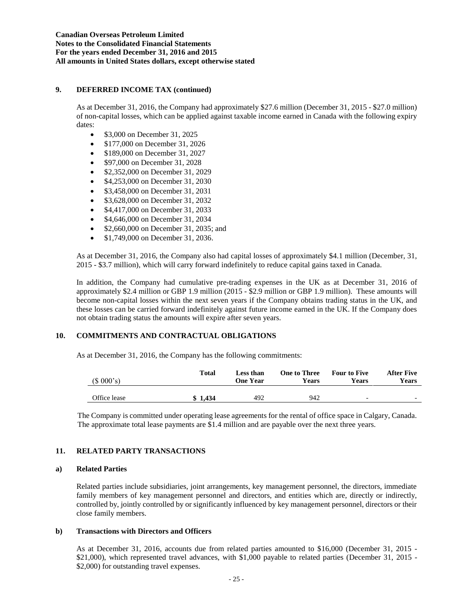## **9. DEFERRED INCOME TAX (continued)**

As at December 31, 2016, the Company had approximately \$27.6 million (December 31, 2015 - \$27.0 million) of non-capital losses, which can be applied against taxable income earned in Canada with the following expiry dates:

- \$3,000 on December 31, 2025
- \$177,000 on December 31, 2026
- **S189,000 on December 31, 2027**
- \$97,000 on December 31, 2028
- \$2,352,000 on December 31, 2029
- \$4,253,000 on December 31, 2030
- \$3,458,000 on December 31, 2031
- **•** \$3,628,000 on December 31, 2032
- \$4,417,000 on December 31, 2033
- \$4,646,000 on December 31, 2034
- \$2,660,000 on December 31, 2035; and
- \$1,749,000 on December 31, 2036.

As at December 31, 2016, the Company also had capital losses of approximately \$4.1 million (December, 31, 2015 - \$3.7 million), which will carry forward indefinitely to reduce capital gains taxed in Canada.

In addition, the Company had cumulative pre-trading expenses in the UK as at December 31, 2016 of approximately \$2.4 million or GBP 1.9 million (2015 - \$2.9 million or GBP 1.9 million). These amounts will become non-capital losses within the next seven years if the Company obtains trading status in the UK, and these losses can be carried forward indefinitely against future income earned in the UK. If the Company does not obtain trading status the amounts will expire after seven years.

# **10. COMMITMENTS AND CONTRACTUAL OBLIGATIONS**

As at December 31, 2016, the Company has the following commitments:

| (\$000's)    | Total      | <b>Less than</b><br>One Year | <b>One to Three</b><br>Years | <b>Four to Five</b><br>Years | After Five<br>Years      |
|--------------|------------|------------------------------|------------------------------|------------------------------|--------------------------|
| Office lease | 1.434<br>æ | 492                          | 942                          | $\overline{\phantom{0}}$     | $\overline{\phantom{0}}$ |

The Company is committed under operating lease agreements for the rental of office space in Calgary, Canada. The approximate total lease payments are \$1.4 million and are payable over the next three years.

## **11. RELATED PARTY TRANSACTIONS**

## **a) Related Parties**

Related parties include subsidiaries, joint arrangements, key management personnel, the directors, immediate family members of key management personnel and directors, and entities which are, directly or indirectly, controlled by, jointly controlled by or significantly influenced by key management personnel, directors or their close family members.

## **b) Transactions with Directors and Officers**

As at December 31, 2016, accounts due from related parties amounted to \$16,000 (December 31, 2015 - \$21,000), which represented travel advances, with \$1,000 payable to related parties (December 31, 2015 -\$2,000) for outstanding travel expenses.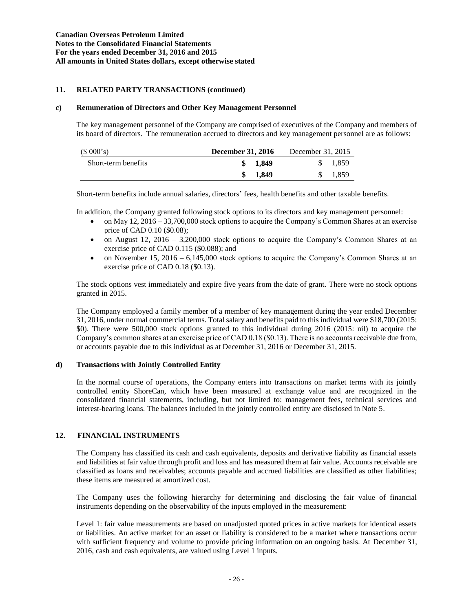# **11. RELATED PARTY TRANSACTIONS (continued)**

## **c) Remuneration of Directors and Other Key Management Personnel**

The key management personnel of the Company are comprised of executives of the Company and members of its board of directors. The remuneration accrued to directors and key management personnel are as follows:

| (\$000's)           | <b>December 31, 2016</b> | December 31, 2015 |
|---------------------|--------------------------|-------------------|
| Short-term benefits | 1.849                    | 1.859             |
|                     | 1.849                    | 1,859             |

Short-term benefits include annual salaries, directors' fees, health benefits and other taxable benefits.

In addition, the Company granted following stock options to its directors and key management personnel:

- on May 12, 2016 33,700,000 stock options to acquire the Company's Common Shares at an exercise price of CAD 0.10 (\$0.08);
- on August 12, 2016 3,200,000 stock options to acquire the Company's Common Shares at an exercise price of CAD 0.115 (\$0.088); and
- on November 15, 2016 6,145,000 stock options to acquire the Company's Common Shares at an exercise price of CAD 0.18 (\$0.13).

The stock options vest immediately and expire five years from the date of grant. There were no stock options granted in 2015.

The Company employed a family member of a member of key management during the year ended December 31, 2016, under normal commercial terms. Total salary and benefits paid to this individual were \$18,700 (2015: \$0). There were 500,000 stock options granted to this individual during 2016 (2015: nil) to acquire the Company's common shares at an exercise price of CAD 0.18 (\$0.13). There is no accounts receivable due from, or accounts payable due to this individual as at December 31, 2016 or December 31, 2015.

# **d) Transactions with Jointly Controlled Entity**

In the normal course of operations, the Company enters into transactions on market terms with its jointly controlled entity ShoreCan, which have been measured at exchange value and are recognized in the consolidated financial statements, including, but not limited to: management fees, technical services and interest-bearing loans. The balances included in the jointly controlled entity are disclosed in Note 5.

# **12. FINANCIAL INSTRUMENTS**

The Company has classified its cash and cash equivalents, deposits and derivative liability as financial assets and liabilities at fair value through profit and loss and has measured them at fair value. Accounts receivable are classified as loans and receivables; accounts payable and accrued liabilities are classified as other liabilities; these items are measured at amortized cost.

The Company uses the following hierarchy for determining and disclosing the fair value of financial instruments depending on the observability of the inputs employed in the measurement:

Level 1: fair value measurements are based on unadjusted quoted prices in active markets for identical assets or liabilities. An active market for an asset or liability is considered to be a market where transactions occur with sufficient frequency and volume to provide pricing information on an ongoing basis. At December 31, 2016, cash and cash equivalents, are valued using Level 1 inputs.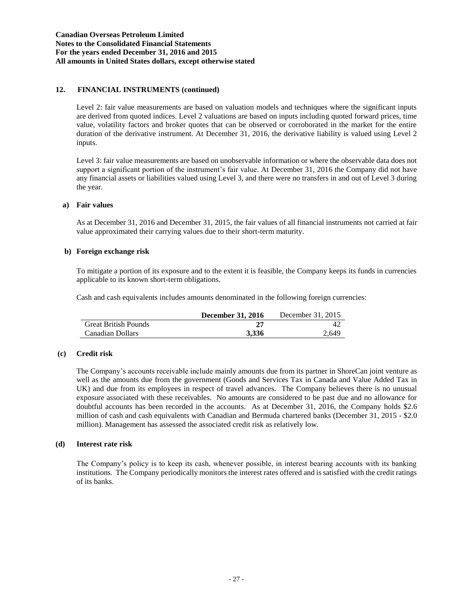# **12. FINANCIAL INSTRUMENTS (continued)**

Level 2: fair value measurements are based on valuation models and techniques where the significant inputs are derived from quoted indices. Level 2 valuations are based on inputs including quoted forward prices, time value, volatility factors and broker quotes that can be observed or corroborated in the market for the entire duration of the derivative instrument. At December 31, 2016, the derivative liability is valued using Level 2 inputs.

Level 3: fair value measurements are based on unobservable information or where the observable data does not support a significant portion of the instrument's fair value. At December 31, 2016 the Company did not have any financial assets or liabilities valued using Level 3, and there were no transfers in and out of Level 3 during the year.

# **a) Fair values**

As at December 31, 2016 and December 31, 2015, the fair values of all financial instruments not carried at fair value approximated their carrying values due to their short-term maturity.

## **b) Foreign exchange risk**

To mitigate a portion of its exposure and to the extent it is feasible, the Company keeps its funds in currencies applicable to its known short-term obligations.

Cash and cash equivalents includes amounts denominated in the following foreign currencies:

|                             | <b>December 31, 2016</b> | December 31, 2015 |
|-----------------------------|--------------------------|-------------------|
| <b>Great British Pounds</b> |                          |                   |
| Canadian Dollars            | 3.336                    | 2.649             |

# **(c) Credit risk**

The Company's accounts receivable include mainly amounts due from its partner in ShoreCan joint venture as well as the amounts due from the government (Goods and Services Tax in Canada and Value Added Tax in UK) and due from its employees in respect of travel advances. The Company believes there is no unusual exposure associated with these receivables. No amounts are considered to be past due and no allowance for doubtful accounts has been recorded in the accounts. As at December 31, 2016, the Company holds \$2.6 million of cash and cash equivalents with Canadian and Bermuda chartered banks (December 31, 2015 - \$2.0 million). Management has assessed the associated credit risk as relatively low.

## **(d) Interest rate risk**

The Company's policy is to keep its cash, whenever possible, in interest bearing accounts with its banking institutions. The Company periodically monitors the interest rates offered and is satisfied with the credit ratings of its banks.